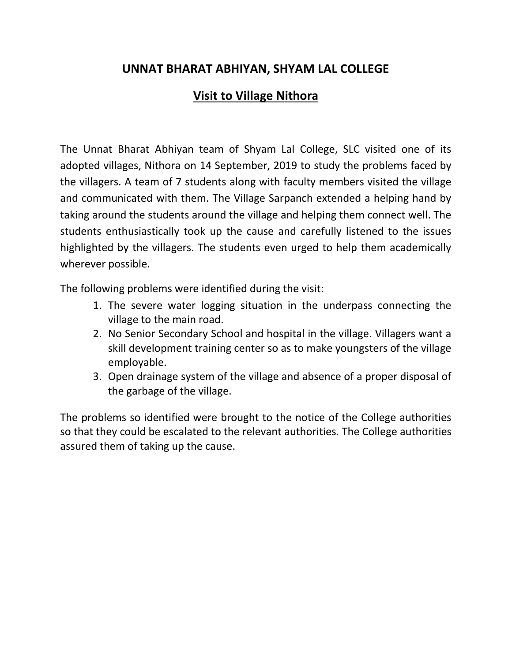## **UNNAT BHARAT ABHIYAN, SHYAM LAL COLLEGE**

## **Visit to Village Nithora**

The Unnat Bharat Abhiyan team of Shyam Lal College, SLC visited one of its adopted villages, Nithora on 14 September, 2019 to study the problems faced by the villagers. A team of 7 students along with faculty members visited the village and communicated with them. The Village Sarpanch extended a helping hand by taking around the students around the village and helping them connect well. The students enthusiastically took up the cause and carefully listened to the issues highlighted by the villagers. The students even urged to help them academically wherever possible.

The following problems were identified during the visit:

- 1. The severe water logging situation in the underpass connecting the village to the main road.
- 2. No Senior Secondary School and hospital in the village. Villagers want a skill development training center so as to make youngsters of the village employable.
- 3. Open drainage system of the village and absence of a proper disposal of the garbage of the village.

The problems so identified were brought to the notice of the College authorities so that they could be escalated to the relevant authorities. The College authorities assured them of taking up the cause.